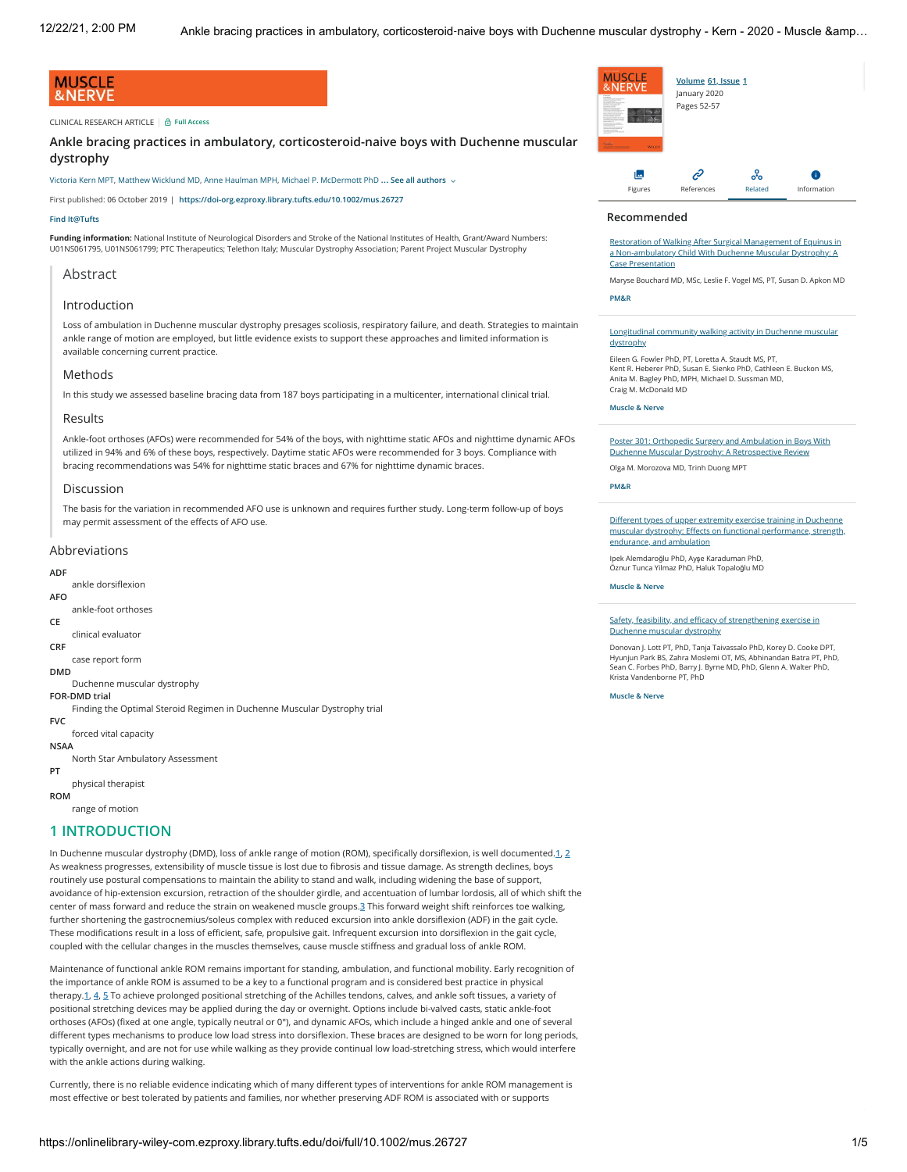### **MUSCLE** &NERVE

#### CLINICAL RESEARCH ARTICLE **Full Access**

**Ankle bracing practices in ambulatory, corticosteroid-naive boys with Duchenne muscular dystrophy**

**… See all authors**  [Victoria Kern MPT](https://onlinelibrary-wiley-com.ezproxy.library.tufts.edu/action/doSearch?ContribAuthorRaw=Kern%2C+Victoria), [Matthew Wicklund MD](https://onlinelibrary-wiley-com.ezproxy.library.tufts.edu/action/doSearch?ContribAuthorRaw=Wicklund%2C+Matthew), [Anne Haulman MPH](https://onlinelibrary-wiley-com.ezproxy.library.tufts.edu/action/doSearch?ContribAuthorRaw=Haulman%2C+Anne), [Michael P. McDermott PhD](https://onlinelibrary-wiley-com.ezproxy.library.tufts.edu/action/doSearch?ContribAuthorRaw=McDermott%2C+Michael+P)

First published: 06 October 2019 | **<https://doi-org.ezproxy.library.tufts.edu/10.1002/mus.26727>**

#### **[Find It@Tufts](https://onlinelibrary-wiley-com.ezproxy.library.tufts.edu/servlet/linkout?suffix=s0&dbid=16384&doi=10.1002/mus.26727&type=tocOpenUrl&url=https%3A%2F%2Ftufts-primo.hosted.exlibrisgroup.com%2Fopenurl%2F01TUN%2F01TUN_SP%3F)**

**Funding information:** National Institute of Neurological Disorders and Stroke of the National Institutes of Health, Grant/Award Numbers: U01NS061795, U01NS061799; PTC Therapeutics; Telethon Italy; Muscular Dystrophy Association; Parent Project Muscular Dystrophy

### **Abstract**

### Introduction

Loss of ambulation in Duchenne muscular dystrophy presages scoliosis, respiratory failure, and death. Strategies to maintain ankle range of motion are employed, but little evidence exists to support these approaches and limited information is available concerning current practice.

#### **Methods**

In this study we assessed baseline bracing data from 187 boys participating in a multicenter, international clinical trial.

#### Results

Ankle-foot orthoses (AFOs) were recommended for 54% of the boys, with nighttime static AFOs and nighttime dynamic AFOs utilized in 94% and 6% of these boys, respectively. Daytime static AFOs were recommended for 3 boys. Compliance with bracing recommendations was 54% for nighttime static braces and 67% for nighttime dynamic braces.

#### Discussion

The basis for the variation in recommended AFO use is unknown and requires further study. Long-term follow-up of boys may permit assessment of the effects of AFO use.

#### Abbreviations

#### **ADF**

- ankle dorsiflexion **AFO**
- ankle-foot orthoses
- **CE**

#### clinical evaluator

**CRF**

case report form **DMD**

#### Duchenne muscular dystrophy

**FOR-DMD trial**

Finding the Optimal Steroid Regimen in Duchenne Muscular Dystrophy trial **FVC**

- forced vital capacity
- **NSAA**
- North Star Ambulatory Assessment

# **PT**

physical therapist **ROM**

range of motion

## **1 INTRODUCTION**

In Duchenne muscular dystrophy (DMD), loss of ankle range of motion (ROM), specifically dorsiflexion, is well documented.**1**, **2** As weakness progresses, extensibility of muscle tissue is lost due to fibrosis and tissue damage. As strength declines, boys routinely use postural compensations to maintain the ability to stand and walk, including widening the base of support, avoidance of hip-extension excursion, retraction of the shoulder girdle, and accentuation of lumbar lordosis, all of which shift the center of mass forward and reduce the strain on weakened muscle groups.**3** This forward weight shift reinforces toe walking, further shortening the gastrocnemius/soleus complex with reduced excursion into ankle dorsiflexion (ADF) in the gait cycle. These modifications result in a loss of efficient, safe, propulsive gait. Infrequent excursion into dorsiflexion in the gait cycle, coupled with the cellular changes in the muscles themselves, cause muscle stiffness and gradual loss of ankle ROM.

Maintenance of functional ankle ROM remains important for standing, ambulation, and functional mobility. Early recognition of the importance of ankle ROM is assumed to be a key to a functional program and is considered best practice in physical therapy.**1**, **4**, **5** To achieve prolonged positional stretching of the Achilles tendons, calves, and ankle soft tissues, a variety of positional stretching devices may be applied during the day or overnight. Options include bi-valved casts, static ankle-foot orthoses (AFOs) (fixed at one angle, typically neutral or 0°), and dynamic AFOs, which include a hinged ankle and one of several different types mechanisms to produce low load stress into dorsiflexion. These braces are designed to be worn for long periods, typically overnight, and are not for use while walking as they provide continual low load-stretching stress, which would interfere with the ankle actions during walking.

Currently, there is no reliable evidence indicating which of many different types of interventions for ankle ROM management is most effective or best tolerated by patients and families, nor whether preserving ADF ROM is associated with or supports



#### **Recommended**

[Restoration of Walking After Surgical Management of Equinus in](https://onlinelibrary-wiley-com.ezproxy.library.tufts.edu/doi/full/10.1002/pmrj.12151) a Non‐ambulatory Child With Duchenne Muscular Dystrophy: A Case Presentation

[Maryse Bouchard MD, MSc](https://onlinelibrary-wiley-com.ezproxy.library.tufts.edu/action/doSearch?ContribAuthorRaw=Bouchard%2C+Maryse), [Leslie F. Vogel MS, PT,](https://onlinelibrary-wiley-com.ezproxy.library.tufts.edu/action/doSearch?ContribAuthorRaw=Vogel%2C+Leslie+F) [Susan D. Apkon MD](https://onlinelibrary-wiley-com.ezproxy.library.tufts.edu/action/doSearch?ContribAuthorRaw=Apkon%2C+Susan+D)

#### **[PM&R](https://onlinelibrary-wiley-com.ezproxy.library.tufts.edu/journal/19341563)**

Longitudinal community walking activity in Duchenne muse dystrophy

[Eileen G. Fowler PhD, PT](https://onlinelibrary-wiley-com.ezproxy.library.tufts.edu/action/doSearch?ContribAuthorRaw=Fowler%2C+Eileen+G), [Loretta A. Staudt MS, PT](https://onlinelibrary-wiley-com.ezproxy.library.tufts.edu/action/doSearch?ContribAuthorRaw=Staudt%2C+Loretta+A), [Kent R. Heberer PhD,](https://onlinelibrary-wiley-com.ezproxy.library.tufts.edu/action/doSearch?ContribAuthorRaw=Heberer%2C+Kent+R) [Susan E. Sienko PhD,](https://onlinelibrary-wiley-com.ezproxy.library.tufts.edu/action/doSearch?ContribAuthorRaw=Sienko%2C+Susan+E) [Cathleen E. Buckon MS](https://onlinelibrary-wiley-com.ezproxy.library.tufts.edu/action/doSearch?ContribAuthorRaw=Buckon%2C+Cathleen+E), [Anita M. Bagley PhD, MPH](https://onlinelibrary-wiley-com.ezproxy.library.tufts.edu/action/doSearch?ContribAuthorRaw=Bagley%2C+Anita+M), [Michael D. Sussman MD,](https://onlinelibrary-wiley-com.ezproxy.library.tufts.edu/action/doSearch?ContribAuthorRaw=Sussman%2C+Michael+D) [Craig M. McDonald MD](https://onlinelibrary-wiley-com.ezproxy.library.tufts.edu/action/doSearch?ContribAuthorRaw=McDonald%2C+Craig+M)

#### **[Muscle & Nerve](https://onlinelibrary-wiley-com.ezproxy.library.tufts.edu/journal/10974598)**

[Poster 301: Orthopedic Surgery and Ambulation in Boys With](https://onlinelibrary-wiley-com.ezproxy.library.tufts.edu/doi/full/10.1016/j.pmrj.2010.07.333) Duchenne Muscular Dystrophy: A Retrospective Review

[Olga M. Morozova MD,](https://onlinelibrary-wiley-com.ezproxy.library.tufts.edu/action/doSearch?ContribAuthorRaw=Morozova%2C+Olga+M) [Trinh Duong MPT](https://onlinelibrary-wiley-com.ezproxy.library.tufts.edu/action/doSearch?ContribAuthorRaw=Duong%2C+Trinh)

#### **[PM&R](https://onlinelibrary-wiley-com.ezproxy.library.tufts.edu/journal/19341563)**

Different types of upper extremity exercise training in Duchenne [muscular dystrophy: Effects on functional performance, strength,](https://onlinelibrary-wiley-com.ezproxy.library.tufts.edu/doi/full/10.1002/mus.24451) endurance, and ambulation

Ipek Alemdaroğlu PhD, Ay<sup>ş</sup>[e Karaduman PhD,](https://onlinelibrary-wiley-com.ezproxy.library.tufts.edu/action/doSearch?ContribAuthorRaw=Karaduman%2C+Ay%C5%9Fe) [Öznur Tunca Yilmaz PhD,](https://onlinelibrary-wiley-com.ezproxy.library.tufts.edu/action/doSearch?ContribAuthorRaw=Yilmaz%2C+%C3%96znur+Tunca) [Haluk Topalo](https://onlinelibrary-wiley-com.ezproxy.library.tufts.edu/action/doSearch?ContribAuthorRaw=Topalo%C4%9Flu%2C+Haluk)<sup>ğ</sup>lu MD

**[Muscle & Nerve](https://onlinelibrary-wiley-com.ezproxy.library.tufts.edu/journal/10974598)**

[Safety, feasibility, and efficacy of strengthening exercise in](https://onlinelibrary-wiley-com.ezproxy.library.tufts.edu/doi/full/10.1002/mus.27137) Duchenne muscular dystrophy

[Donovan J. Lott PT, PhD,](https://onlinelibrary-wiley-com.ezproxy.library.tufts.edu/action/doSearch?ContribAuthorRaw=Lott%2C+Donovan+J) [Tanja Taivassalo PhD,](https://onlinelibrary-wiley-com.ezproxy.library.tufts.edu/action/doSearch?ContribAuthorRaw=Taivassalo%2C+Tanja) [Korey D. Cooke DPT,](https://onlinelibrary-wiley-com.ezproxy.library.tufts.edu/action/doSearch?ContribAuthorRaw=Cooke%2C+Korey+D) [Hyunjun Park BS,](https://onlinelibrary-wiley-com.ezproxy.library.tufts.edu/action/doSearch?ContribAuthorRaw=Park%2C+Hyunjun) [Zahra Moslemi OT, MS,](https://onlinelibrary-wiley-com.ezproxy.library.tufts.edu/action/doSearch?ContribAuthorRaw=Moslemi%2C+Zahra) [Abhinandan Batra PT, PhD](https://onlinelibrary-wiley-com.ezproxy.library.tufts.edu/action/doSearch?ContribAuthorRaw=Batra%2C+Abhinandan), [Sean C. Forbes PhD](https://onlinelibrary-wiley-com.ezproxy.library.tufts.edu/action/doSearch?ContribAuthorRaw=Forbes%2C+Sean+C), [Barry J. Byrne MD, PhD,](https://onlinelibrary-wiley-com.ezproxy.library.tufts.edu/action/doSearch?ContribAuthorRaw=Byrne%2C+Barry+J) [Glenn A. Walter PhD](https://onlinelibrary-wiley-com.ezproxy.library.tufts.edu/action/doSearch?ContribAuthorRaw=Walter%2C+Glenn+A), [Krista Vandenborne PT, PhD](https://onlinelibrary-wiley-com.ezproxy.library.tufts.edu/action/doSearch?ContribAuthorRaw=Vandenborne%2C+Krista)

#### **[Muscle & Nerve](https://onlinelibrary-wiley-com.ezproxy.library.tufts.edu/journal/10974598)**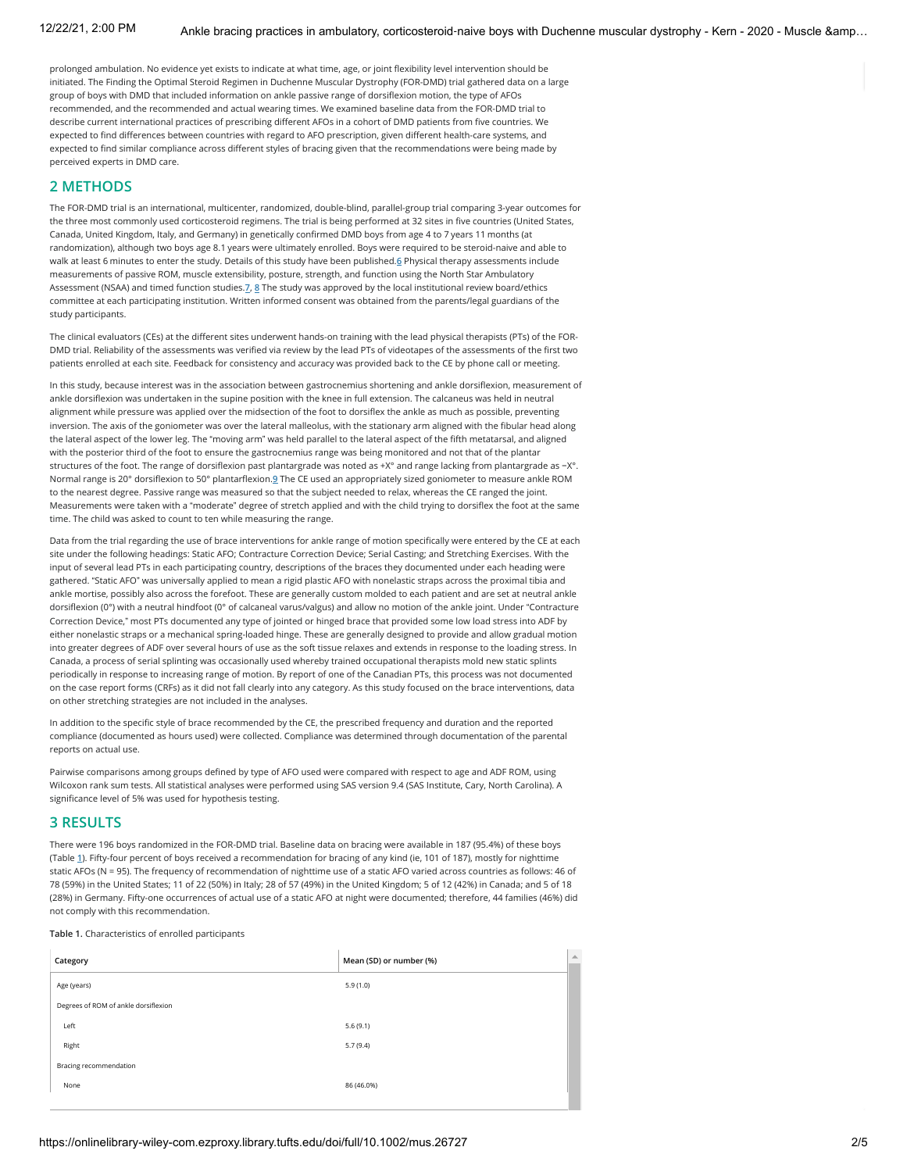prolonged ambulation. No evidence yet exists to indicate at what time, age, or joint flexibility level intervention should be initiated. The Finding the Optimal Steroid Regimen in Duchenne Muscular Dystrophy (FOR-DMD) trial gathered data on a large group of boys with DMD that included information on ankle passive range of dorsiflexion motion, the type of AFOs recommended, and the recommended and actual wearing times. We examined baseline data from the FOR-DMD trial to describe current international practices of prescribing different AFOs in a cohort of DMD patients from five countries. We expected to find differences between countries with regard to AFO prescription, given different health-care systems, and expected to find similar compliance across different styles of bracing given that the recommendations were being made by perceived experts in DMD care.

### **2 METHODS**

The FOR-DMD trial is an international, multicenter, randomized, double-blind, parallel-group trial comparing 3-year outcomes for the three most commonly used corticosteroid regimens. The trial is being performed at 32 sites in five countries (United States, Canada, United Kingdom, Italy, and Germany) in genetically confirmed DMD boys from age 4 to 7 years 11 months (at randomization), although two boys age 8.1 years were ultimately enrolled. Boys were required to be steroid-naive and able to walk at least 6 minutes to enter the study. Details of this study have been published.**6** Physical therapy assessments include measurements of passive ROM, muscle extensibility, posture, strength, and function using the North Star Ambulatory Assessment (NSAA) and timed function studies.**7**, **8** The study was approved by the local institutional review board/ethics committee at each participating institution. Written informed consent was obtained from the parents/legal guardians of the study participants.

The clinical evaluators (CEs) at the different sites underwent hands-on training with the lead physical therapists (PTs) of the FOR-DMD trial. Reliability of the assessments was verified via review by the lead PTs of videotapes of the assessments of the first two patients enrolled at each site. Feedback for consistency and accuracy was provided back to the CE by phone call or meeting.

In this study, because interest was in the association between gastrocnemius shortening and ankle dorsiflexion, measurement of ankle dorsiflexion was undertaken in the supine position with the knee in full extension. The calcaneus was held in neutral alignment while pressure was applied over the midsection of the foot to dorsiflex the ankle as much as possible, preventing inversion. The axis of the goniometer was over the lateral malleolus, with the stationary arm aligned with the fibular head along the lateral aspect of the lower leg. The "moving arm" was held parallel to the lateral aspect of the fifth metatarsal, and aligned with the posterior third of the foot to ensure the gastrocnemius range was being monitored and not that of the plantar structures of the foot. The range of dorsiflexion past plantargrade was noted as +X° and range lacking from plantargrade as −X°. Normal range is 20° dorsiflexion to 50° plantarflexion.**9** The CE used an appropriately sized goniometer to measure ankle ROM to the nearest degree. Passive range was measured so that the subject needed to relax, whereas the CE ranged the joint. Measurements were taken with a "moderate" degree of stretch applied and with the child trying to dorsiflex the foot at the same time. The child was asked to count to ten while measuring the range.

Data from the trial regarding the use of brace interventions for ankle range of motion specifically were entered by the CE at each site under the following headings: Static AFO; Contracture Correction Device; Serial Casting; and Stretching Exercises. With the input of several lead PTs in each participating country, descriptions of the braces they documented under each heading were gathered. "Static AFO" was universally applied to mean a rigid plastic AFO with nonelastic straps across the proximal tibia and ankle mortise, possibly also across the forefoot. These are generally custom molded to each patient and are set at neutral ankle dorsiflexion (0°) with a neutral hindfoot (0° of calcaneal varus/valgus) and allow no motion of the ankle joint. Under "Contracture Correction Device," most PTs documented any type of jointed or hinged brace that provided some low load stress into ADF by either nonelastic straps or a mechanical spring-loaded hinge. These are generally designed to provide and allow gradual motion into greater degrees of ADF over several hours of use as the soft tissue relaxes and extends in response to the loading stress. In Canada, a process of serial splinting was occasionally used whereby trained occupational therapists mold new static splints periodically in response to increasing range of motion. By report of one of the Canadian PTs, this process was not documented on the case report forms (CRFs) as it did not fall clearly into any category. As this study focused on the brace interventions, data on other stretching strategies are not included in the analyses.

In addition to the specific style of brace recommended by the CE, the prescribed frequency and duration and the reported compliance (documented as hours used) were collected. Compliance was determined through documentation of the parental reports on actual use.

Pairwise comparisons among groups defined by type of AFO used were compared with respect to age and ADF ROM, using Wilcoxon rank sum tests. All statistical analyses were performed using SAS version 9.4 (SAS Institute, Cary, North Carolina). A significance level of 5% was used for hypothesis testing.

### **3 RESULTS**

There were 196 boys randomized in the FOR-DMD trial. Baseline data on bracing were available in 187 (95.4%) of these boys (Table **1**). Fifty-four percent of boys received a recommendation for bracing of any kind (ie, 101 of 187), mostly for nighttime static AFOs (N = 95). The frequency of recommendation of nighttime use of a static AFO varied across countries as follows: 46 of 78 (59%) in the United States; 11 of 22 (50%) in Italy; 28 of 57 (49%) in the United Kingdom; 5 of 12 (42%) in Canada; and 5 of 18 (28%) in Germany. Fifty-one occurrences of actual use of a static AFO at night were documented; therefore, 44 families (46%) did not comply with this recommendation.

### **Table 1.** Characteristics of enrolled participants

| Category                             | Mean (SD) or number (%) | $\blacktriangle$ |
|--------------------------------------|-------------------------|------------------|
| Age (years)                          | 5.9(1.0)                |                  |
| Degrees of ROM of ankle dorsiflexion |                         |                  |
| Left                                 | 5.6(9.1)                |                  |
| Right                                | 5.7(9.4)                |                  |
| Bracing recommendation               |                         |                  |
| None                                 | 86 (46.0%)              |                  |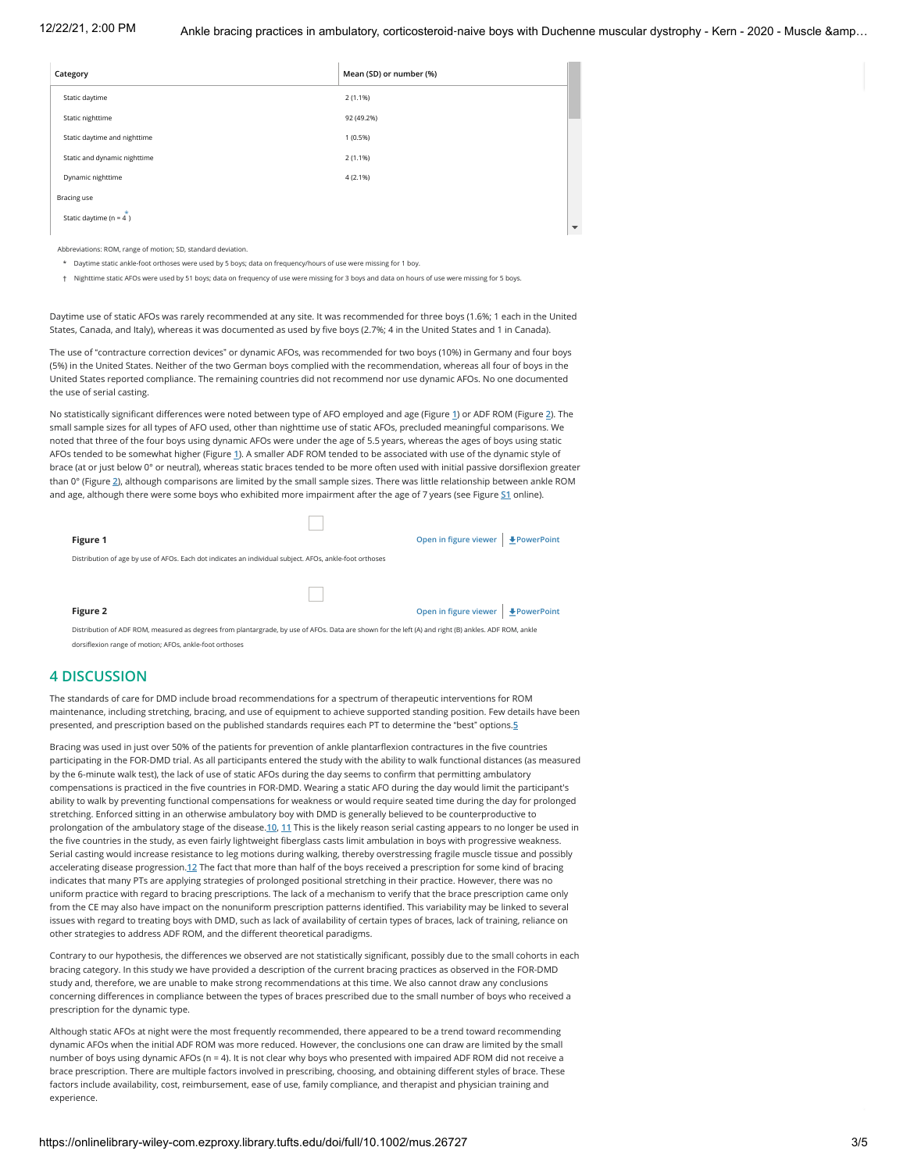| Category    |                              | Mean (SD) or number (%) |                          |
|-------------|------------------------------|-------------------------|--------------------------|
|             | Static daytime               | 2(1.1%)                 |                          |
|             | Static nighttime             | 92 (49.2%)              |                          |
|             | Static daytime and nighttime | 1(0.5%)                 |                          |
|             | Static and dynamic nighttime | 2(1.1%)                 |                          |
|             | Dynamic nighttime            | 4(2.1%)                 |                          |
| Bracing use |                              |                         |                          |
|             | Static daytime ( $n = 4$ )   |                         | $\overline{\phantom{a}}$ |
|             |                              |                         |                          |

Abbreviations: ROM, range of motion; SD, standard deviation.

\* Daytime static ankle-foot orthoses were used by 5 boys; data on frequency/hours of use were missing for 1 boy.

† Nighttime static AFOs were used by 51 boys; data on frequency of use were missing for 3 boys and data on hours of use were missing for 5 boys.

Daytime use of static AFOs was rarely recommended at any site. It was recommended for three boys (1.6%; 1 each in the United States, Canada, and Italy), whereas it was documented as used by five boys (2.7%; 4 in the United States and 1 in Canada).

The use of "contracture correction devices" or dynamic AFOs, was recommended for two boys (10%) in Germany and four boys (5%) in the United States. Neither of the two German boys complied with the recommendation, whereas all four of boys in the United States reported compliance. The remaining countries did not recommend nor use dynamic AFOs. No one documented the use of serial casting.

No statistically significant differences were noted between type of AFO employed and age (Figure **1**) or ADF ROM (Figure **2**). The small sample sizes for all types of AFO used, other than nighttime use of static AFOs, precluded meaningful comparisons. We noted that three of the four boys using dynamic AFOs were under the age of 5.5 years, whereas the ages of boys using static AFOs tended to be somewhat higher (Figure **1**). A smaller ADF ROM tended to be associated with use of the dynamic style of brace (at or just below 0° or neutral), whereas static braces tended to be more often used with initial passive dorsiflexion greater than 0° (Figure **2**), although comparisons are limited by the small sample sizes. There was little relationship between ankle ROM and age, although there were some boys who exhibited more impairment after the age of 7 years (see Figure **S1** online).

**Figure 1 Constant of the Constant of the Constant of the Constant of the [PowerPoint](https://onlinelibrary-wiley-com.ezproxy.library.tufts.edu/action/downloadFigures?id=mus26727-fig-0001&doi=10.1002%2Fmus.26727)** 

Distribution of age by use of AFOs. Each dot indicates an individual subject. AFOs, ankle-foot orthoses

**Figure 2 Open in figure viewer [PowerPoint](https://onlinelibrary-wiley-com.ezproxy.library.tufts.edu/action/downloadFigures?id=mus26727-fig-0002&doi=10.1002%2Fmus.26727)**<br> **PowerPoint** 

Distribution of ADF ROM, measured as degrees from plantargrade, by use of AFOs. Data are shown for the left (A) and right (B) ankles. ADF ROM, ankle dorsiflexion range of motion; AFOs, ankle-foot orthoses

### **4 DISCUSSION**

The standards of care for DMD include broad recommendations for a spectrum of therapeutic interventions for ROM maintenance, including stretching, bracing, and use of equipment to achieve supported standing position. Few details have been presented, and prescription based on the published standards requires each PT to determine the "best" options.**5**

Bracing was used in just over 50% of the patients for prevention of ankle plantarflexion contractures in the five countries participating in the FOR-DMD trial. As all participants entered the study with the ability to walk functional distances (as measured by the 6-minute walk test), the lack of use of static AFOs during the day seems to confirm that permitting ambulatory compensations is practiced in the five countries in FOR-DMD. Wearing a static AFO during the day would limit the participant's ability to walk by preventing functional compensations for weakness or would require seated time during the day for prolonged stretching. Enforced sitting in an otherwise ambulatory boy with DMD is generally believed to be counterproductive to prolongation of the ambulatory stage of the disease.**10**, **11** This is the likely reason serial casting appears to no longer be used in the five countries in the study, as even fairly lightweight fiberglass casts limit ambulation in boys with progressive weakness. Serial casting would increase resistance to leg motions during walking, thereby overstressing fragile muscle tissue and possibly accelerating disease progression.**12** The fact that more than half of the boys received a prescription for some kind of bracing indicates that many PTs are applying strategies of prolonged positional stretching in their practice. However, there was no uniform practice with regard to bracing prescriptions. The lack of a mechanism to verify that the brace prescription came only from the CE may also have impact on the nonuniform prescription patterns identified. This variability may be linked to several issues with regard to treating boys with DMD, such as lack of availability of certain types of braces, lack of training, reliance on other strategies to address ADF ROM, and the different theoretical paradigms.

Contrary to our hypothesis, the differences we observed are not statistically significant, possibly due to the small cohorts in each bracing category. In this study we have provided a description of the current bracing practices as observed in the FOR-DMD study and, therefore, we are unable to make strong recommendations at this time. We also cannot draw any conclusions concerning differences in compliance between the types of braces prescribed due to the small number of boys who received a prescription for the dynamic type.

Although static AFOs at night were the most frequently recommended, there appeared to be a trend toward recommending dynamic AFOs when the initial ADF ROM was more reduced. However, the conclusions one can draw are limited by the small number of boys using dynamic AFOs (n = 4). It is not clear why boys who presented with impaired ADF ROM did not receive a brace prescription. There are multiple factors involved in prescribing, choosing, and obtaining different styles of brace. These factors include availability, cost, reimbursement, ease of use, family compliance, and therapist and physician training and experience.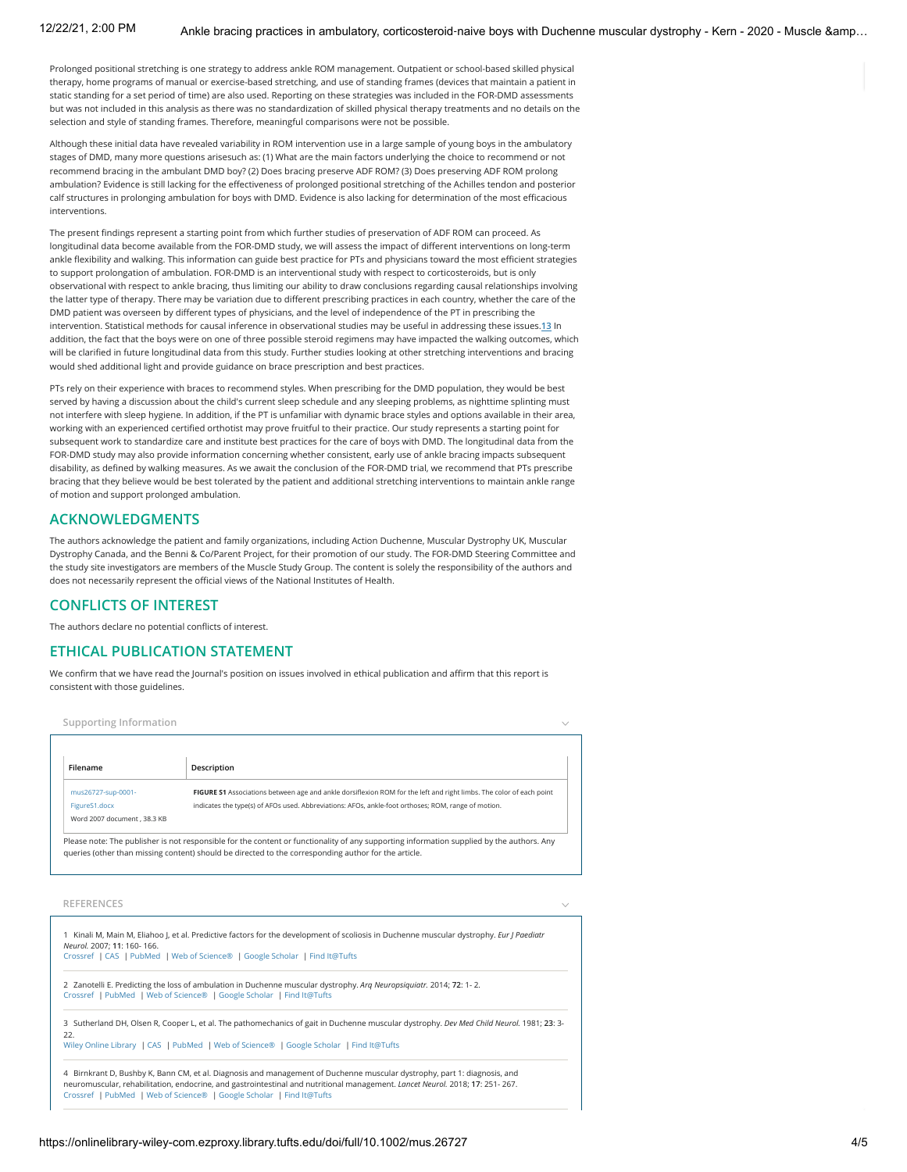12/22/21, 2:00 PM Ankle bracing practices in ambulatory, corticosteroid-naive boys with Duchenne muscular dystrophy - Kern - 2020 - Muscle &amp...

Prolonged positional stretching is one strategy to address ankle ROM management. Outpatient or school-based skilled physical therapy, home programs of manual or exercise-based stretching, and use of standing frames (devices that maintain a patient in static standing for a set period of time) are also used. Reporting on these strategies was included in the FOR-DMD assessments but was not included in this analysis as there was no standardization of skilled physical therapy treatments and no details on the selection and style of standing frames. Therefore, meaningful comparisons were not be possible.

Although these initial data have revealed variability in ROM intervention use in a large sample of young boys in the ambulatory stages of DMD, many more questions arisesuch as: (1) What are the main factors underlying the choice to recommend or not recommend bracing in the ambulant DMD boy? (2) Does bracing preserve ADF ROM? (3) Does preserving ADF ROM prolong ambulation? Evidence is still lacking for the effectiveness of prolonged positional stretching of the Achilles tendon and posterior calf structures in prolonging ambulation for boys with DMD. Evidence is also lacking for determination of the most efficacious interventions.

The present findings represent a starting point from which further studies of preservation of ADF ROM can proceed. As longitudinal data become available from the FOR-DMD study, we will assess the impact of different interventions on long-term ankle flexibility and walking. This information can guide best practice for PTs and physicians toward the most efficient strategies to support prolongation of ambulation. FOR-DMD is an interventional study with respect to corticosteroids, but is only observational with respect to ankle bracing, thus limiting our ability to draw conclusions regarding causal relationships involving the latter type of therapy. There may be variation due to different prescribing practices in each country, whether the care of the DMD patient was overseen by different types of physicians, and the level of independence of the PT in prescribing the intervention. Statistical methods for causal inference in observational studies may be useful in addressing these issues.**13** In addition, the fact that the boys were on one of three possible steroid regimens may have impacted the walking outcomes, which will be clarified in future longitudinal data from this study. Further studies looking at other stretching interventions and bracing would shed additional light and provide guidance on brace prescription and best practices.

PTs rely on their experience with braces to recommend styles. When prescribing for the DMD population, they would be best served by having a discussion about the child's current sleep schedule and any sleeping problems, as nighttime splinting must not interfere with sleep hygiene. In addition, if the PT is unfamiliar with dynamic brace styles and options available in their area, working with an experienced certified orthotist may prove fruitful to their practice. Our study represents a starting point for subsequent work to standardize care and institute best practices for the care of boys with DMD. The longitudinal data from the FOR-DMD study may also provide information concerning whether consistent, early use of ankle bracing impacts subsequent disability, as defined by walking measures. As we await the conclusion of the FOR-DMD trial, we recommend that PTs prescribe bracing that they believe would be best tolerated by the patient and additional stretching interventions to maintain ankle range of motion and support prolonged ambulation.

### **ACKNOWLEDGMENTS**

The authors acknowledge the patient and family organizations, including Action Duchenne, Muscular Dystrophy UK, Muscular Dystrophy Canada, and the Benni & Co/Parent Project, for their promotion of our study. The FOR-DMD Steering Committee and the study site investigators are members of the Muscle Study Group. The content is solely the responsibility of the authors and does not necessarily represent the official views of the National Institutes of Health.

### **CONFLICTS OF INTEREST**

The authors declare no potential conflicts of interest.

## **ETHICAL PUBLICATION STATEMENT**

We confirm that we have read the Journal's position on issues involved in ethical publication and affirm that this report is consistent with those guidelines.

**Supporting Information**

| Filename                    | Description                                                                                                         |
|-----------------------------|---------------------------------------------------------------------------------------------------------------------|
| mus26727-sup-0001-          | FIGURE S1 Associations between age and ankle dorsiflexion ROM for the left and right limbs. The color of each point |
| FigureS1.docx               | indicates the type(s) of AFOs used. Abbreviations: AFOs, ankle-foot orthoses: ROM, range of motion.                 |
| Word 2007 document, 38.3 KB |                                                                                                                     |

#### **REFERENCES**

| 1 Kinali M, Main M, Eliahoo J, et al. Predictive factors for the development of scoliosis in Duchenne muscular dystrophy. Eur J Paediatr<br>Neurol. 2007: 11: 160-166.<br>Crossref   CAS   PubMed   Web of Science®   Google Scholar   Find It@Tufts                                                                             |  |  |
|----------------------------------------------------------------------------------------------------------------------------------------------------------------------------------------------------------------------------------------------------------------------------------------------------------------------------------|--|--|
| 2 Zanotelli E. Predicting the loss of ambulation in Duchenne muscular dystrophy. Arg Neuropsiguiatr. 2014; 72: 1-2.<br>Crossref   PubMed   Web of Science®   Google Scholar   Find It@Tufts                                                                                                                                      |  |  |
| 3: 3-3- Sutherland DH, Olsen R, Cooper L, et al. The pathomechanics of gait in Duchenne muscular dystrophy. Dev Med Child Neurol. 1981; 23: 3-<br>22.<br>Wiley Online Library   CAS   PubMed   Web of Science®   Google Scholar   Find It@Tufts                                                                                  |  |  |
| 4 Birnkrant D, Bushby K, Bann CM, et al. Diagnosis and management of Duchenne muscular dystrophy, part 1: diagnosis, and<br>neuromuscular, rehabilitation, endocrine, and gastrointestinal and nutritional management. Lancet Neurol. 2018; 17: 251-267.<br>Crossref   PubMed   Web of Science®   Google Scholar   Find It@Tufts |  |  |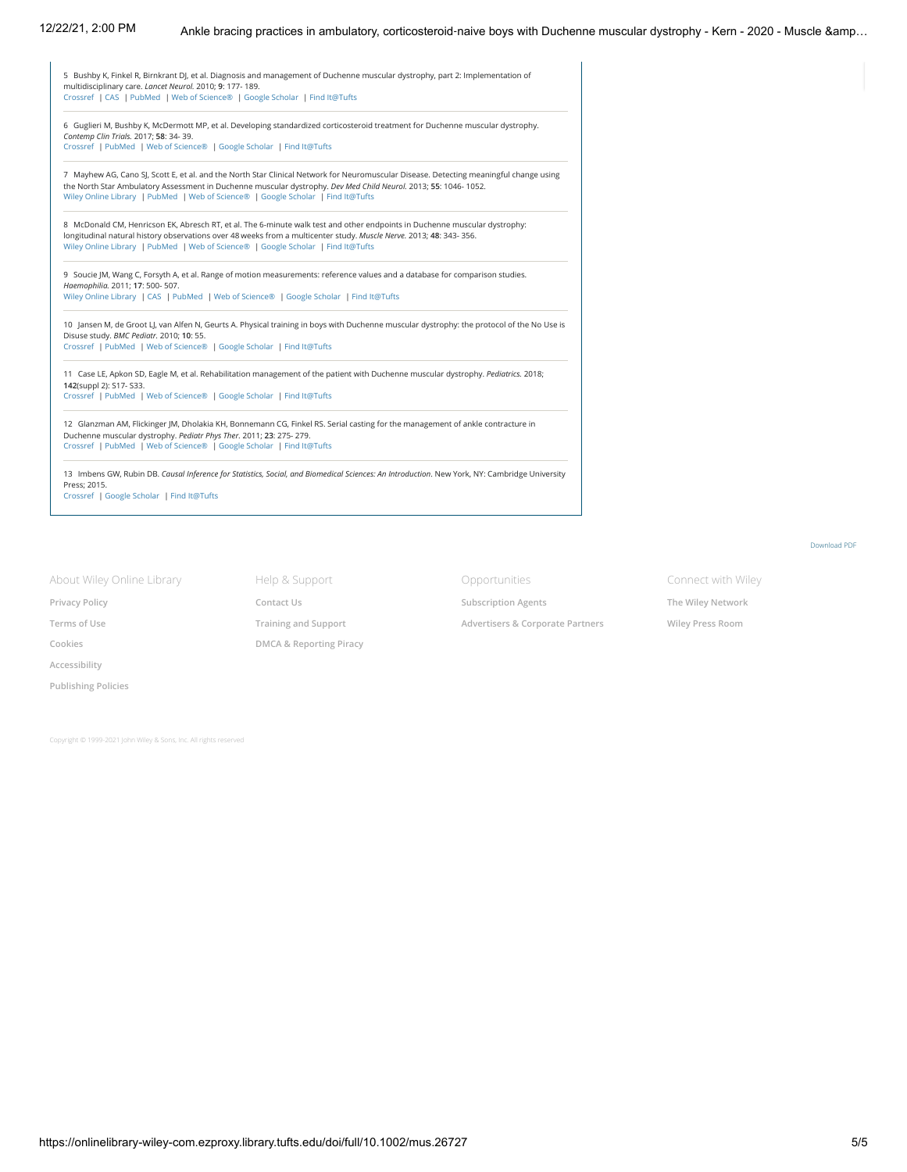| 5 Bushby K, Finkel R, Birnkrant DJ, et al. Diagnosis and management of Duchenne muscular dystrophy, part 2: Implementation of<br>multidisciplinary care. Lancet Neurol. 2010; 9: 177-189.<br>Crossref   CAS   PubMed   Web of Science®   Google Scholar   Find It@Tufts                                                                       |  |  |  |  |
|-----------------------------------------------------------------------------------------------------------------------------------------------------------------------------------------------------------------------------------------------------------------------------------------------------------------------------------------------|--|--|--|--|
| 6 Guglieri M, Bushby K, McDermott MP, et al. Developing standardized corticosteroid treatment for Duchenne muscular dystrophy.<br>Contemp Clin Trials. 2017; 58: 34- 39.<br>Crossref   PubMed   Web of Science®   Google Scholar   Find It@Tufts                                                                                              |  |  |  |  |
| 7 Mayhew AG, Cano SJ, Scott E, et al. and the North Star Clinical Network for Neuromuscular Disease. Detecting meaningful change using<br>the North Star Ambulatory Assessment in Duchenne muscular dystrophy. Dev Med Child Neurol. 2013; 55: 1046-1052.<br>Wiley Online Library   PubMed   Web of Science®   Google Scholar   Find It@Tufts |  |  |  |  |
| 8 McDonald CM, Henricson EK, Abresch RT, et al. The 6-minute walk test and other endpoints in Duchenne muscular dystrophy:<br>longitudinal natural history observations over 48 weeks from a multicenter study. Muscle Nerve. 2013; 48: 343-356.<br>Wiley Online Library   PubMed   Web of Science®   Google Scholar   Find It@Tufts          |  |  |  |  |
| 9 Soucie JM, Wang C, Forsyth A, et al. Range of motion measurements: reference values and a database for comparison studies.<br>Haemophilia. 2011; 17: 500- 507.<br>Wiley Online Library   CAS   PubMed   Web of Science®   Google Scholar   Find It@Tufts                                                                                    |  |  |  |  |
| 10 Jansen M, de Groot LJ, van Alfen N, Geurts A. Physical training in boys with Duchenne muscular dystrophy: the protocol of the No Use is<br>Disuse study. BMC Pediatr. 2010; 10: 55.<br>Crossref   PubMed   Web of Science®   Google Scholar   Find It@Tufts                                                                                |  |  |  |  |
| 11 Case LE, Apkon SD, Eagle M, et al. Rehabilitation management of the patient with Duchenne muscular dystrophy. Pediatrics. 2018;<br>142(suppl 2): S17- S33.<br>Crossref   PubMed   Web of Science®   Google Scholar   Find It@Tufts                                                                                                         |  |  |  |  |
| 12 Glanzman AM, Flickinger JM, Dholakia KH, Bonnemann CG, Finkel RS. Serial casting for the management of ankle contracture in<br>Duchenne muscular dystrophy. Pediatr Phys Ther. 2011; 23: 275- 279.<br>Crossref   PubMed   Web of Science®   Google Scholar   Find It@Tufts                                                                 |  |  |  |  |
| 13 Imbens GW, Rubin DB. Causal Inference for Statistics, Social, and Biomedical Sciences: An Introduction. New York, NY: Cambridge University<br>Press; 2015.<br>Crossref   Google Scholar   Find It@Tufts                                                                                                                                    |  |  |  |  |

About Wiley Online Library **[Privacy Policy](https://www-wiley-com.ezproxy.library.tufts.edu/privacy) [Terms of Use](https://onlinelibrary-wiley-com.ezproxy.library.tufts.edu/terms-and-conditions) [Cookies](https://onlinelibrary-wiley-com.ezproxy.library.tufts.edu/cookies) [Accessibility](https://onlinelibrary-wiley-com.ezproxy.library.tufts.edu/accessibility) [Publishing Policies](https://onlinelibrary-wiley-com.ezproxy.library.tufts.edu/publishing-policies)**

**[Training and Support](https://www-wiley-com.ezproxy.library.tufts.edu/customer-success/wiley-online-library-training-hub) [DMCA & Reporting Piracy](https://onlinelibrary-wiley-com.ezproxy.library.tufts.edu/dmca-notification-policy)**

Help & Support **[Contact Us](https://hub-wiley-com.ezproxy.library.tufts.edu/community/support/onlinelibrary)**

Opportunities **[Subscription Agents](https://onlinelibrary-wiley-com.ezproxy.library.tufts.edu/agents) [Advertisers & Corporate Partners](https://onlinelibrary-wiley-com.ezproxy.library.tufts.edu/advertisers)** Connect with Wiley **[The Wiley Network](https://www-wiley-com.ezproxy.library.tufts.edu/network) [Wiley Press Room](https://newsroom-wiley-com.ezproxy.library.tufts.edu/)**

Copyright © 1999-2021 [John Wiley & Sons, Inc.](https://www-wiley-com.ezproxy.library.tufts.edu/) All rights reserved

[Download](https://onlinelibrary-wiley-com.ezproxy.library.tufts.edu/doi/pdf/10.1002/mus.26727) PDF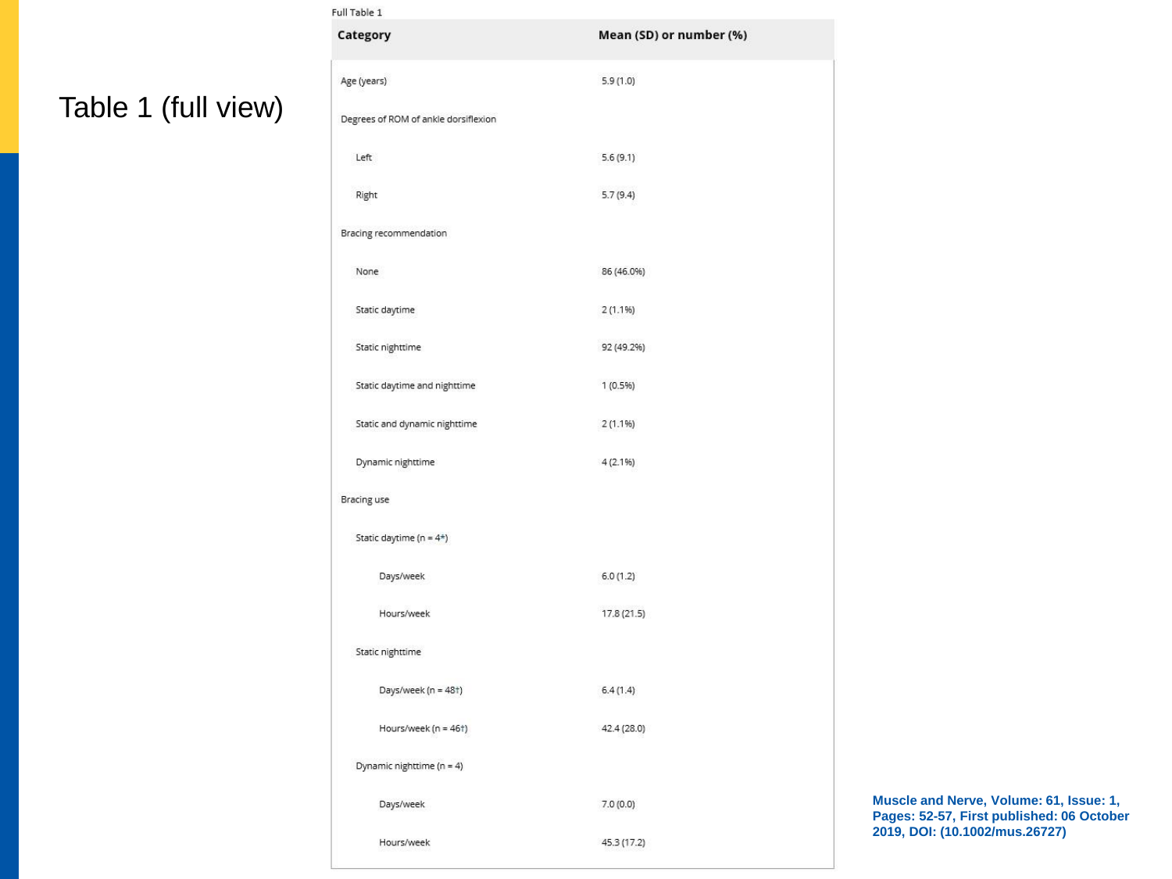# Table 1 (full view)

| Full Table 1                         |                         |  |  |  |
|--------------------------------------|-------------------------|--|--|--|
| Category                             | Mean (SD) or number (%) |  |  |  |
| Age (years)                          | 5.9(1.0)                |  |  |  |
| Degrees of ROM of ankle dorsiflexion |                         |  |  |  |
| Left                                 | 5.6(9.1)                |  |  |  |
| Right                                | 5.7(9.4)                |  |  |  |
| Bracing recommendation               |                         |  |  |  |
| None                                 | 86 (46.0%)              |  |  |  |
| Static daytime                       | 2(1.1%)                 |  |  |  |
| Static nighttime                     | 92 (49.2%)              |  |  |  |
| Static daytime and nighttime         | 1(0.5%)                 |  |  |  |
| Static and dynamic nighttime         | 2(1.1%)                 |  |  |  |
| Dynamic nighttime                    | 4(2.1%)                 |  |  |  |
| Bracing use                          |                         |  |  |  |
| Static daytime ( $n = 4*$ )          |                         |  |  |  |
| Days/week                            | 6.0(1.2)                |  |  |  |
| Hours/week                           | 17.8 (21.5)             |  |  |  |
| Static nighttime                     |                         |  |  |  |
| Days/week (n = 48t)                  | 6.4(1.4)                |  |  |  |
| Hours/week (n = 46t)                 | 42.4 (28.0)             |  |  |  |
| Dynamic nighttime (n = 4)            |                         |  |  |  |
| Days/week                            | 7.0(0.0)                |  |  |  |
| Hours/week                           | 45.3 (17.2)             |  |  |  |

**Muscle and Nerve, Volume: 61, Issue: 1, Pages: 52-57, First published: 06 October 2019, DOI: (10.1002/mus.26727)**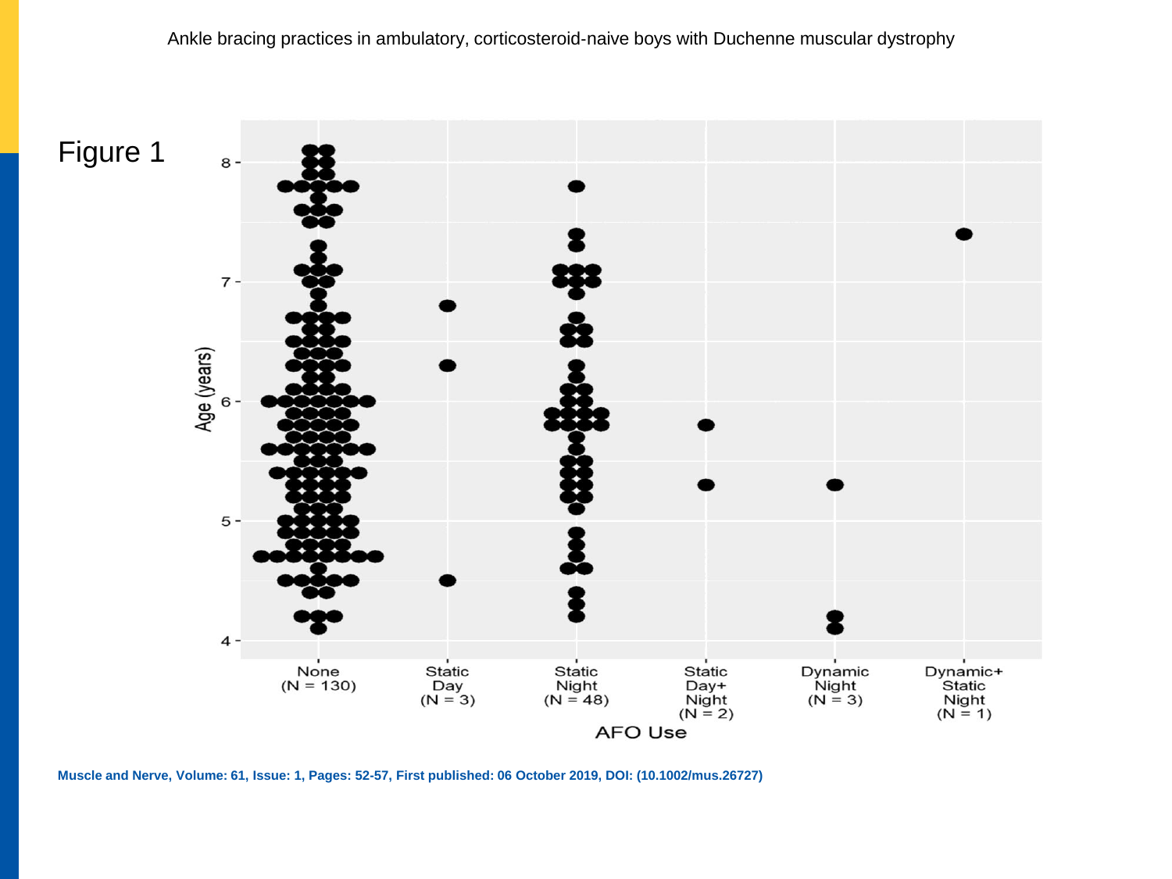Figure 1 $8 7 -$ Age (years) 6  $5 \ensuremath{\mathsf{4}}$ Dynamic<br>Night<br>(N = 3) Dynamic+<br>Static None<br>( $N = 130$ ) Static Static Static Day<br>( $N = 3$ ) Night<br>( $N = 48$ ) Day+ Night Night  $(N = 2)$  $(N = 1)$ **AFO Use** 

**Muscle and Nerve, Volume: 61, Issue: 1, Pages: 52-57, First published: 06 October 2019, DOI: (10.1002/mus.26727)**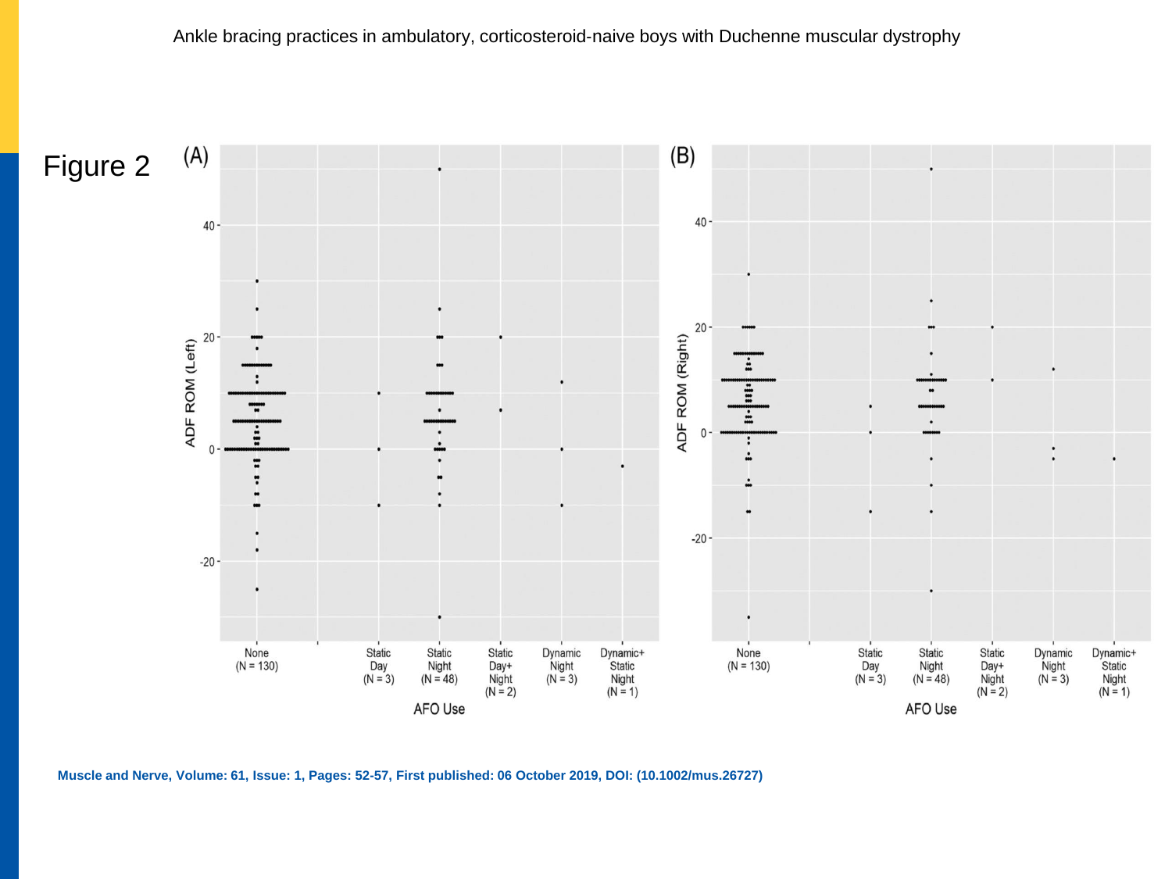

**Muscle and Nerve, Volume: 61, Issue: 1, Pages: 52-57, First published: 06 October 2019, DOI: (10.1002/mus.26727)**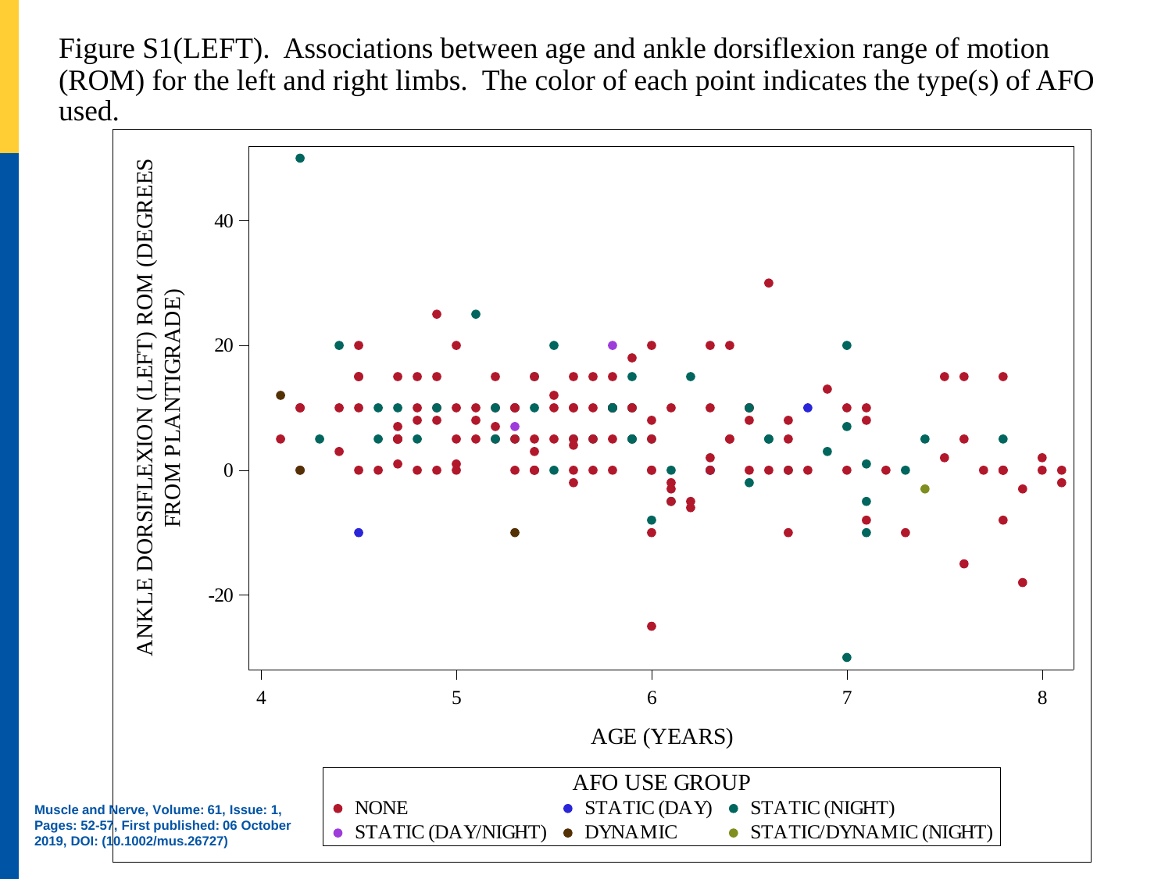Figure S1(LEFT). Associations between age and ankle dorsiflexion range of motion (ROM) for the left and right limbs. The color of each point indicates the type(s) of AFO used.